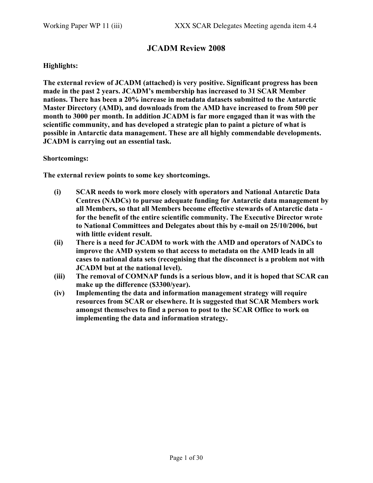## JCADM Review 2008

#### Highlights:

The external review of JCADM (attached) is very positive. Significant progress has been made in the past 2 years. JCADM's membership has increased to 31 SCAR Member nations. There has been a 20% increase in metadata datasets submitted to the Antarctic Master Directory (AMD), and downloads from the AMD have increased to from 500 per month to 3000 per month. In addition JCADM is far more engaged than it was with the scientific community, and has developed a strategic plan to paint a picture of what is possible in Antarctic data management. These are all highly commendable developments. JCADM is carrying out an essential task.

Shortcomings:

The external review points to some key shortcomings.

- (i) SCAR needs to work more closely with operators and National Antarctic Data Centres (NADCs) to pursue adequate funding for Antarctic data management by all Members, so that all Members become effective stewards of Antarctic data for the benefit of the entire scientific community. The Executive Director wrote to National Committees and Delegates about this by e-mail on 25/10/2006, but with little evident result.
- (ii) There is a need for JCADM to work with the AMD and operators of NADCs to improve the AMD system so that access to metadata on the AMD leads in all cases to national data sets (recognising that the disconnect is a problem not with JCADM but at the national level).
- (iii) The removal of COMNAP funds is a serious blow, and it is hoped that SCAR can make up the difference (\$3300/year).
- (iv) Implementing the data and information management strategy will require resources from SCAR or elsewhere. It is suggested that SCAR Members work amongst themselves to find a person to post to the SCAR Office to work on implementing the data and information strategy.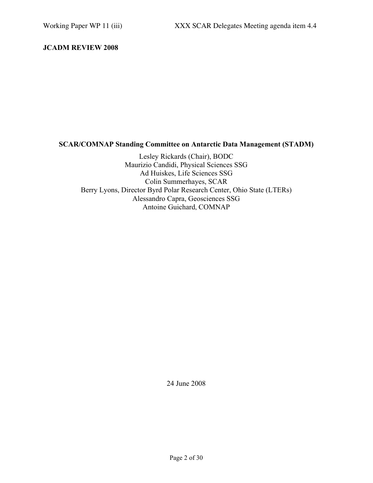#### JCADM REVIEW 2008

## SCAR/COMNAP Standing Committee on Antarctic Data Management (STADM)

Lesley Rickards (Chair), BODC Maurizio Candidi, Physical Sciences SSG Ad Huiskes, Life Sciences SSG Colin Summerhayes, SCAR Berry Lyons, Director Byrd Polar Research Center, Ohio State (LTERs) Alessandro Capra, Geosciences SSG Antoine Guichard, COMNAP

24 June 2008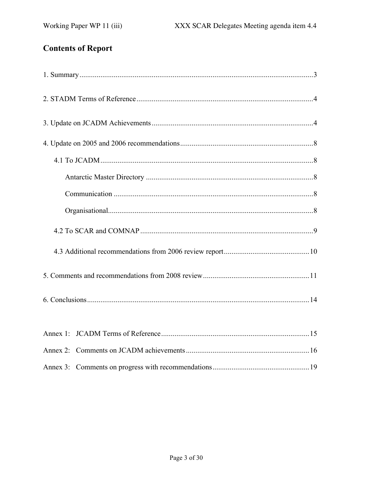# **Contents of Report**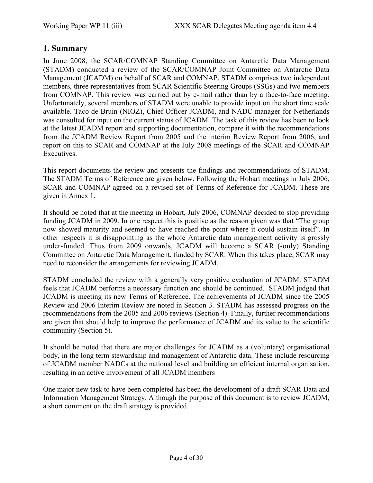## 1. Summary

In June 2008, the SCAR/COMNAP Standing Committee on Antarctic Data Management (STADM) conducted a review of the SCAR/COMNAP Joint Committee on Antarctic Data Management (JCADM) on behalf of SCAR and COMNAP. STADM comprises two independent members, three representatives from SCAR Scientific Steering Groups (SSGs) and two members from COMNAP. This review was carried out by e-mail rather than by a face-to-face meeting. Unfortunately, several members of STADM were unable to provide input on the short time scale available. Taco de Bruin (NIOZ), Chief Officer JCADM, and NADC manager for Netherlands was consulted for input on the current status of JCADM. The task of this review has been to look at the latest JCADM report and supporting documentation, compare it with the recommendations from the JCADM Review Report from 2005 and the interim Review Report from 2006, and report on this to SCAR and COMNAP at the July 2008 meetings of the SCAR and COMNAP Executives.

This report documents the review and presents the findings and recommendations of STADM. The STADM Terms of Reference are given below. Following the Hobart meetings in July 2006, SCAR and COMNAP agreed on a revised set of Terms of Reference for JCADM. These are given in Annex 1.

It should be noted that at the meeting in Hobart, July 2006, COMNAP decided to stop providing funding JCADM in 2009. In one respect this is positive as the reason given was that "The group now showed maturity and seemed to have reached the point where it could sustain itself". In other respects it is disappointing as the whole Antarctic data management activity is grossly under-funded. Thus from 2009 onwards, JCADM will become a SCAR (-only) Standing Committee on Antarctic Data Management, funded by SCAR. When this takes place, SCAR may need to reconsider the arrangements for reviewing JCADM.

STADM concluded the review with a generally very positive evaluation of JCADM. STADM feels that JCADM performs a necessary function and should be continued. STADM judged that JCADM is meeting its new Terms of Reference. The achievements of JCADM since the 2005 Review and 2006 Interim Review are noted in Section 3. STADM has assessed progress on the recommendations from the 2005 and 2006 reviews (Section 4). Finally, further recommendations are given that should help to improve the performance of JCADM and its value to the scientific community (Section 5).

It should be noted that there are major challenges for JCADM as a (voluntary) organisational body, in the long term stewardship and management of Antarctic data. These include resourcing of JCADM member NADCs at the national level and building an efficient internal organisation, resulting in an active involvement of all JCADM members

One major new task to have been completed has been the development of a draft SCAR Data and Information Management Strategy. Although the purpose of this document is to review JCADM, a short comment on the draft strategy is provided.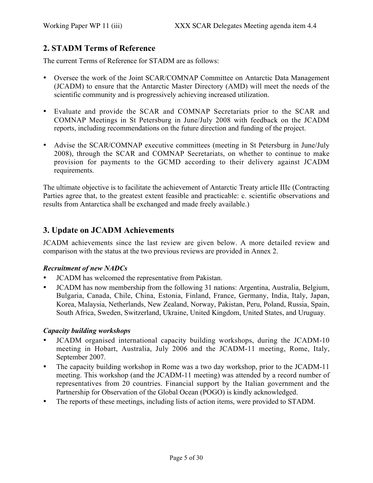# 2. STADM Terms of Reference

The current Terms of Reference for STADM are as follows:

- Oversee the work of the Joint SCAR/COMNAP Committee on Antarctic Data Management (JCADM) to ensure that the Antarctic Master Directory (AMD) will meet the needs of the scientific community and is progressively achieving increased utilization.
- Evaluate and provide the SCAR and COMNAP Secretariats prior to the SCAR and COMNAP Meetings in St Petersburg in June/July 2008 with feedback on the JCADM reports, including recommendations on the future direction and funding of the project.
- Advise the SCAR/COMNAP executive committees (meeting in St Petersburg in June/July 2008), through the SCAR and COMNAP Secretariats, on whether to continue to make provision for payments to the GCMD according to their delivery against JCADM requirements.

The ultimate objective is to facilitate the achievement of Antarctic Treaty article IIIc (Contracting Parties agree that, to the greatest extent feasible and practicable: c. scientific observations and results from Antarctica shall be exchanged and made freely available.)

# 3. Update on JCADM Achievements

JCADM achievements since the last review are given below. A more detailed review and comparison with the status at the two previous reviews are provided in Annex 2.

#### *Recruitment of new NADCs*

- JCADM has welcomed the representative from Pakistan.
- JCADM has now membership from the following 31 nations: Argentina, Australia, Belgium, Bulgaria, Canada, Chile, China, Estonia, Finland, France, Germany, India, Italy, Japan, Korea, Malaysia, Netherlands, New Zealand, Norway, Pakistan, Peru, Poland, Russia, Spain, South Africa, Sweden, Switzerland, Ukraine, United Kingdom, United States, and Uruguay.

#### *Capacity building workshops*

- JCADM organised international capacity building workshops, during the JCADM-10 meeting in Hobart, Australia, July 2006 and the JCADM-11 meeting, Rome, Italy, September 2007.
- The capacity building workshop in Rome was a two day workshop, prior to the JCADM-11 meeting. This workshop (and the JCADM-11 meeting) was attended by a record number of representatives from 20 countries. Financial support by the Italian government and the Partnership for Observation of the Global Ocean (POGO) is kindly acknowledged.
- The reports of these meetings, including lists of action items, were provided to STADM.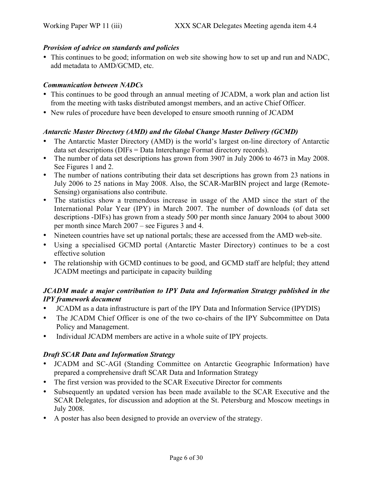#### *Provision of advice on standards and policies*

• This continues to be good; information on web site showing how to set up and run and NADC, add metadata to AMD/GCMD, etc.

#### *Communication between NADCs*

- This continues to be good through an annual meeting of JCADM, a work plan and action list from the meeting with tasks distributed amongst members, and an active Chief Officer.
- New rules of procedure have been developed to ensure smooth running of JCADM

#### *Antarctic Master Directory (AMD) and the Global Change Master Delivery (GCMD)*

- The Antarctic Master Directory (AMD) is the world's largest on-line directory of Antarctic data set descriptions (DIFs = Data Interchange Format directory records).
- The number of data set descriptions has grown from 3907 in July 2006 to 4673 in May 2008. See Figures 1 and 2.
- The number of nations contributing their data set descriptions has grown from 23 nations in July 2006 to 25 nations in May 2008. Also, the SCAR-MarBIN project and large (Remote-Sensing) organisations also contribute.
- The statistics show a tremendous increase in usage of the AMD since the start of the International Polar Year (IPY) in March 2007. The number of downloads (of data set descriptions -DIFs) has grown from a steady 500 per month since January 2004 to about 3000 per month since March 2007 – see Figures 3 and 4.
- Nineteen countries have set up national portals; these are accessed from the AMD web-site.
- Using a specialised GCMD portal (Antarctic Master Directory) continues to be a cost effective solution
- The relationship with GCMD continues to be good, and GCMD staff are helpful; they attend JCADM meetings and participate in capacity building

## *JCADM made a major contribution to IPY Data and Information Strategy published in the IPY framework document*

- JCADM as a data infrastructure is part of the IPY Data and Information Service (IPYDIS)
- The JCADM Chief Officer is one of the two co-chairs of the IPY Subcommittee on Data Policy and Management.
- Individual JCADM members are active in a whole suite of IPY projects.

## *Draft SCAR Data and Information Strategy*

- JCADM and SC-AGI (Standing Committee on Antarctic Geographic Information) have prepared a comprehensive draft SCAR Data and Information Strategy
- The first version was provided to the SCAR Executive Director for comments
- Subsequently an updated version has been made available to the SCAR Executive and the SCAR Delegates, for discussion and adoption at the St. Petersburg and Moscow meetings in July 2008.
- A poster has also been designed to provide an overview of the strategy.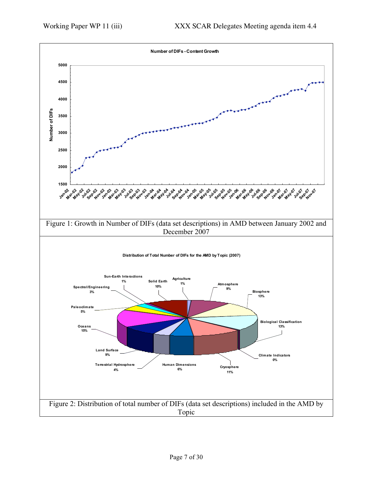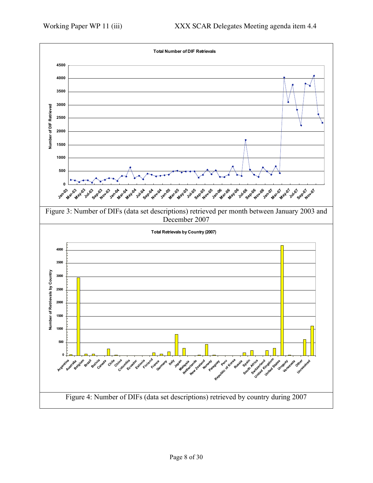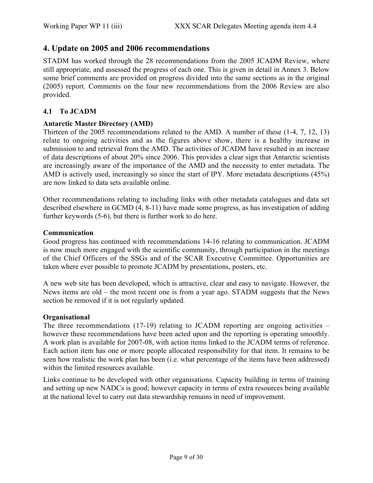## 4. Update on 2005 and 2006 recommendations

STADM has worked through the 28 recommendations from the 2005 JCADM Review, where still appropriate, and assessed the progress of each one. This is given in detail in Annex 3. Below some brief comments are provided on progress divided into the same sections as in the original (2005) report. Comments on the four new recommendations from the 2006 Review are also provided.

#### 4.1 To JCADM

#### Antarctic Master Directory (AMD)

Thirteen of the 2005 recommendations related to the AMD. A number of these (1-4, 7, 12, 13) relate to ongoing activities and as the figures above show, there is a healthy increase in submission to and retrieval from the AMD. The activities of JCADM have resulted in an increase of data descriptions of about 20% since 2006. This provides a clear sign that Antarctic scientists are increasingly aware of the importance of the AMD and the necessity to enter metadata. The AMD is actively used, increasingly so since the start of IPY. More metadata descriptions (45%) are now linked to data sets available online.

Other recommendations relating to including links with other metadata catalogues and data set described elsewhere in GCMD (4, 8-11) have made some progress, as has investigation of adding further keywords (5-6), but there is further work to do here.

#### Communication

Good progress has continued with recommendations 14-16 relating to communication. JCADM is now much more engaged with the scientific community, through participation in the meetings of the Chief Officers of the SSGs and of the SCAR Executive Committee. Opportunities are taken where ever possible to promote JCADM by presentations, posters, etc.

A new web site has been developed, which is attractive, clear and easy to navigate. However, the News items are old – the most recent one is from a year ago. STADM suggests that the News section be removed if it is not regularly updated.

#### **Organisational**

The three recommendations (17-19) relating to JCADM reporting are ongoing activities – however these recommendations have been acted upon and the reporting is operating smoothly. A work plan is available for 2007-08, with action items linked to the JCADM terms of reference. Each action item has one or more people allocated responsibility for that item. It remains to be seen how realistic the work plan has been (i.e. what percentage of the items have been addressed) within the limited resources available.

Links continue to be developed with other organisations. Capacity building in terms of training and setting up new NADCs is good; however capacity in terms of extra resources being available at the national level to carry out data stewardship remains in need of improvement.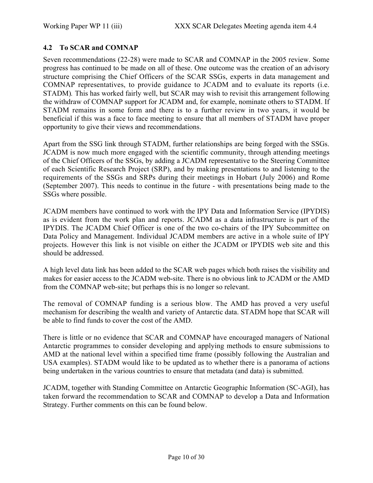### 4.2 To SCAR and COMNAP

Seven recommendations (22-28) were made to SCAR and COMNAP in the 2005 review. Some progress has continued to be made on all of these. One outcome was the creation of an advisory structure comprising the Chief Officers of the SCAR SSGs, experts in data management and COMNAP representatives, to provide guidance to JCADM and to evaluate its reports (i.e. STADM)*.* This has worked fairly well, but SCAR may wish to revisit this arrangement following the withdraw of COMNAP support for JCADM and, for example, nominate others to STADM. If STADM remains in some form and there is to a further review in two years, it would be beneficial if this was a face to face meeting to ensure that all members of STADM have proper opportunity to give their views and recommendations.

Apart from the SSG link through STADM, further relationships are being forged with the SSGs. JCADM is now much more engaged with the scientific community, through attending meetings of the Chief Officers of the SSGs, by adding a JCADM representative to the Steering Committee of each Scientific Research Project (SRP), and by making presentations to and listening to the requirements of the SSGs and SRPs during their meetings in Hobart (July 2006) and Rome (September 2007). This needs to continue in the future - with presentations being made to the SSGs where possible.

JCADM members have continued to work with the IPY Data and Information Service (IPYDIS) as is evident from the work plan and reports. JCADM as a data infrastructure is part of the IPYDIS. The JCADM Chief Officer is one of the two co-chairs of the IPY Subcommittee on Data Policy and Management. Individual JCADM members are active in a whole suite of IPY projects. However this link is not visible on either the JCADM or IPYDIS web site and this should be addressed.

A high level data link has been added to the SCAR web pages which both raises the visibility and makes for easier access to the JCADM web-site. There is no obvious link to JCADM or the AMD from the COMNAP web-site; but perhaps this is no longer so relevant.

The removal of COMNAP funding is a serious blow. The AMD has proved a very useful mechanism for describing the wealth and variety of Antarctic data. STADM hope that SCAR will be able to find funds to cover the cost of the AMD.

There is little or no evidence that SCAR and COMNAP have encouraged managers of National Antarctic programmes to consider developing and applying methods to ensure submissions to AMD at the national level within a specified time frame (possibly following the Australian and USA examples). STADM would like to be updated as to whether there is a panorama of actions being undertaken in the various countries to ensure that metadata (and data) is submitted.

JCADM, together with Standing Committee on Antarctic Geographic Information (SC-AGI), has taken forward the recommendation to SCAR and COMNAP to develop a Data and Information Strategy. Further comments on this can be found below.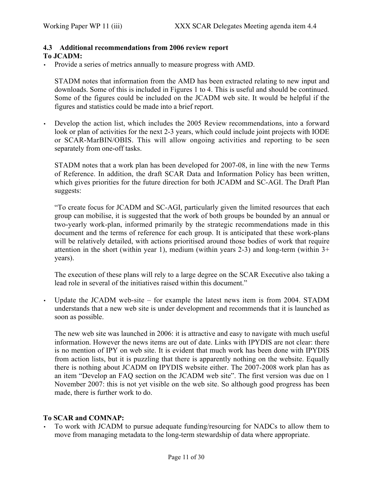#### 4.3 Additional recommendations from 2006 review report To JCADM:

• Provide a series of metrics annually to measure progress with AMD.

STADM notes that information from the AMD has been extracted relating to new input and downloads. Some of this is included in Figures 1 to 4. This is useful and should be continued. Some of the figures could be included on the JCADM web site. It would be helpful if the figures and statistics could be made into a brief report.

• Develop the action list, which includes the 2005 Review recommendations, into a forward look or plan of activities for the next 2-3 years, which could include joint projects with IODE or SCAR-MarBIN/OBIS. This will allow ongoing activities and reporting to be seen separately from one-off tasks.

STADM notes that a work plan has been developed for 2007-08, in line with the new Terms of Reference. In addition, the draft SCAR Data and Information Policy has been written, which gives priorities for the future direction for both JCADM and SC-AGI. The Draft Plan suggests:

"To create focus for JCADM and SC-AGI, particularly given the limited resources that each group can mobilise, it is suggested that the work of both groups be bounded by an annual or two-yearly work-plan, informed primarily by the strategic recommendations made in this document and the terms of reference for each group. It is anticipated that these work-plans will be relatively detailed, with actions prioritised around those bodies of work that require attention in the short (within year 1), medium (within years 2-3) and long-term (within 3+ years).

The execution of these plans will rely to a large degree on the SCAR Executive also taking a lead role in several of the initiatives raised within this document."

Update the JCADM web-site – for example the latest news item is from 2004. STADM understands that a new web site is under development and recommends that it is launched as soon as possible.

The new web site was launched in 2006: it is attractive and easy to navigate with much useful information. However the news items are out of date. Links with IPYDIS are not clear: there is no mention of IPY on web site. It is evident that much work has been done with IPYDIS from action lists, but it is puzzling that there is apparently nothing on the website. Equally there is nothing about JCADM on IPYDIS website either. The 2007-2008 work plan has as an item "Develop an FAQ section on the JCADM web site". The first version was due on 1 November 2007: this is not yet visible on the web site. So although good progress has been made, there is further work to do.

## To SCAR and COMNAP:

• To work with JCADM to pursue adequate funding/resourcing for NADCs to allow them to move from managing metadata to the long-term stewardship of data where appropriate.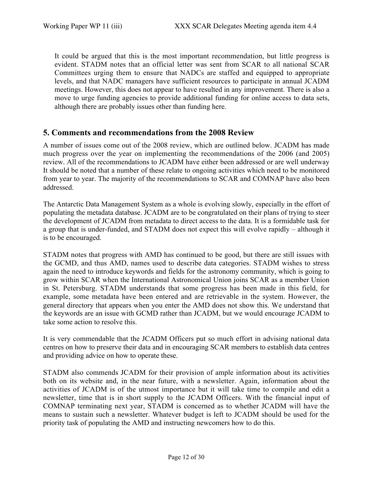It could be argued that this is the most important recommendation, but little progress is evident. STADM notes that an official letter was sent from SCAR to all national SCAR Committees urging them to ensure that NADCs are staffed and equipped to appropriate levels, and that NADC managers have sufficient resources to participate in annual JCADM meetings. However, this does not appear to have resulted in any improvement. There is also a move to urge funding agencies to provide additional funding for online access to data sets, although there are probably issues other than funding here.

## 5. Comments and recommendations from the 2008 Review

A number of issues come out of the 2008 review, which are outlined below. JCADM has made much progress over the year on implementing the recommendations of the 2006 (and 2005) review. All of the recommendations to JCADM have either been addressed or are well underway It should be noted that a number of these relate to ongoing activities which need to be monitored from year to year. The majority of the recommendations to SCAR and COMNAP have also been addressed.

The Antarctic Data Management System as a whole is evolving slowly, especially in the effort of populating the metadata database. JCADM are to be congratulated on their plans of trying to steer the development of JCADM from metadata to direct access to the data. It is a formidable task for a group that is under-funded, and STADM does not expect this will evolve rapidly – although it is to be encouraged.

STADM notes that progress with AMD has continued to be good, but there are still issues with the GCMD, and thus AMD, names used to describe data categories. STADM wishes to stress again the need to introduce keywords and fields for the astronomy community, which is going to grow within SCAR when the International Astronomical Union joins SCAR as a member Union in St. Petersburg. STADM understands that some progress has been made in this field, for example, some metadata have been entered and are retrievable in the system. However, the general directory that appears when you enter the AMD does not show this. We understand that the keywords are an issue with GCMD rather than JCADM, but we would encourage JCADM to take some action to resolve this.

It is very commendable that the JCADM Officers put so much effort in advising national data centres on how to preserve their data and in encouraging SCAR members to establish data centres and providing advice on how to operate these.

STADM also commends JCADM for their provision of ample information about its activities both on its website and, in the near future, with a newsletter. Again, information about the activities of JCADM is of the utmost importance but it will take time to compile and edit a newsletter, time that is in short supply to the JCADM Officers. With the financial input of COMNAP terminating next year, STADM is concerned as to whether JCADM will have the means to sustain such a newsletter. Whatever budget is left to JCADM should be used for the priority task of populating the AMD and instructing newcomers how to do this.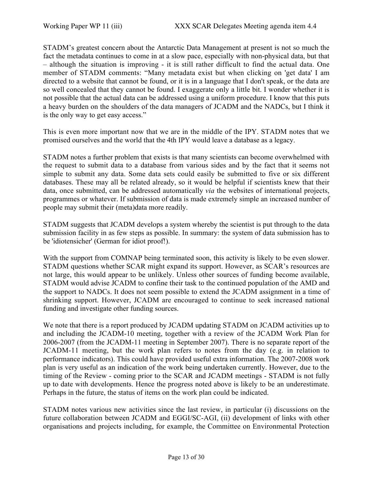STADM's greatest concern about the Antarctic Data Management at present is not so much the fact the metadata continues to come in at a slow pace, especially with non-physical data, but that – although the situation is improving - it is still rather difficult to find the actual data. One member of STADM comments: "Many metadata exist but when clicking on 'get data' I am directed to a website that cannot be found, or it is in a language that I don't speak, or the data are so well concealed that they cannot be found. I exaggerate only a little bit. I wonder whether it is not possible that the actual data can be addressed using a uniform procedure. I know that this puts a heavy burden on the shoulders of the data managers of JCADM and the NADCs, but I think it is the only way to get easy access."

This is even more important now that we are in the middle of the IPY. STADM notes that we promised ourselves and the world that the 4th IPY would leave a database as a legacy.

STADM notes a further problem that exists is that many scientists can become overwhelmed with the request to submit data to a database from various sides and by the fact that it seems not simple to submit any data. Some data sets could easily be submitted to five or six different databases. These may all be related already, so it would be helpful if scientists knew that their data, once submitted, can be addressed automatically *via* the websites of international projects, programmes or whatever. If submission of data is made extremely simple an increased number of people may submit their (meta)data more readily.

STADM suggests that JCADM develops a system whereby the scientist is put through to the data submission facility in as few steps as possible. In summary: the system of data submission has to be 'idiotensicher' (German for idiot proof!).

With the support from COMNAP being terminated soon, this activity is likely to be even slower. STADM questions whether SCAR might expand its support. However, as SCAR's resources are not large, this would appear to be unlikely. Unless other sources of funding become available, STADM would advise JCADM to confine their task to the continued population of the AMD and the support to NADCs. It does not seem possible to extend the JCADM assignment in a time of shrinking support. However, JCADM are encouraged to continue to seek increased national funding and investigate other funding sources.

We note that there is a report produced by JCADM updating STADM on JCADM activities up to and including the JCADM-10 meeting, together with a review of the JCADM Work Plan for 2006-2007 (from the JCADM-11 meeting in September 2007). There is no separate report of the JCADM-11 meeting, but the work plan refers to notes from the day (e.g. in relation to performance indicators). This could have provided useful extra information. The 2007-2008 work plan is very useful as an indication of the work being undertaken currently. However, due to the timing of the Review - coming prior to the SCAR and JCADM meetings - STADM is not fully up to date with developments. Hence the progress noted above is likely to be an underestimate. Perhaps in the future, the status of items on the work plan could be indicated.

STADM notes various new activities since the last review, in particular (i) discussions on the future collaboration between JCADM and EGGI/SC-AGI, (ii) development of links with other organisations and projects including, for example, the Committee on Environmental Protection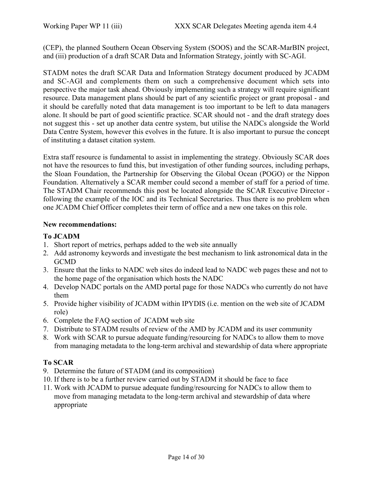(CEP), the planned Southern Ocean Observing System (SOOS) and the SCAR-MarBIN project, and (iii) production of a draft SCAR Data and Information Strategy, jointly with SC-AGI.

STADM notes the draft SCAR Data and Information Strategy document produced by JCADM and SC-AGI and complements them on such a comprehensive document which sets into perspective the major task ahead. Obviously implementing such a strategy will require significant resource. Data management plans should be part of any scientific project or grant proposal - and it should be carefully noted that data management is too important to be left to data managers alone. It should be part of good scientific practice. SCAR should not - and the draft strategy does not suggest this - set up another data centre system, but utilise the NADCs alongside the World Data Centre System, however this evolves in the future. It is also important to pursue the concept of instituting a dataset citation system.

Extra staff resource is fundamental to assist in implementing the strategy. Obviously SCAR does not have the resources to fund this, but investigation of other funding sources, including perhaps, the Sloan Foundation, the Partnership for Observing the Global Ocean (POGO) or the Nippon Foundation. Alternatively a SCAR member could second a member of staff for a period of time. The STADM Chair recommends this post be located alongside the SCAR Executive Director following the example of the IOC and its Technical Secretaries. Thus there is no problem when one JCADM Chief Officer completes their term of office and a new one takes on this role.

#### New recommendations:

#### To JCADM

- 1. Short report of metrics, perhaps added to the web site annually
- 2. Add astronomy keywords and investigate the best mechanism to link astronomical data in the **GCMD**
- 3. Ensure that the links to NADC web sites do indeed lead to NADC web pages these and not to the home page of the organisation which hosts the NADC
- 4. Develop NADC portals on the AMD portal page for those NADCs who currently do not have them
- 5. Provide higher visibility of JCADM within IPYDIS (i.e. mention on the web site of JCADM role)
- 6. Complete the FAQ section of JCADM web site
- 7. Distribute to STADM results of review of the AMD by JCADM and its user community
- 8. Work with SCAR to pursue adequate funding/resourcing for NADCs to allow them to move from managing metadata to the long-term archival and stewardship of data where appropriate

## To SCAR

- 9. Determine the future of STADM (and its composition)
- 10. If there is to be a further review carried out by STADM it should be face to face
- 11. Work with JCADM to pursue adequate funding/resourcing for NADCs to allow them to move from managing metadata to the long-term archival and stewardship of data where appropriate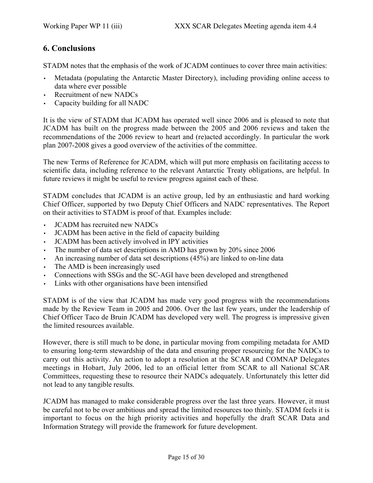# 6. Conclusions

STADM notes that the emphasis of the work of JCADM continues to cover three main activities:

- Metadata (populating the Antarctic Master Directory), including providing online access to data where ever possible
- Recruitment of new NADCs
- Capacity building for all NADC

It is the view of STADM that JCADM has operated well since 2006 and is pleased to note that JCADM has built on the progress made between the 2005 and 2006 reviews and taken the recommendations of the 2006 review to heart and (re)acted accordingly. In particular the work plan 2007-2008 gives a good overview of the activities of the committee.

The new Terms of Reference for JCADM, which will put more emphasis on facilitating access to scientific data, including reference to the relevant Antarctic Treaty obligations, are helpful. In future reviews it might be useful to review progress against each of these.

STADM concludes that JCADM is an active group, led by an enthusiastic and hard working Chief Officer, supported by two Deputy Chief Officers and NADC representatives. The Report on their activities to STADM is proof of that. Examples include:

- JCADM has recruited new NADCs
- JCADM has been active in the field of capacity building
- JCADM has been actively involved in IPY activities
- The number of data set descriptions in AMD has grown by 20% since 2006
- An increasing number of data set descriptions (45%) are linked to on-line data
- The AMD is been increasingly used
- Connections with SSGs and the SC-AGI have been developed and strengthened
- Links with other organisations have been intensified

STADM is of the view that JCADM has made very good progress with the recommendations made by the Review Team in 2005 and 2006. Over the last few years, under the leadership of Chief Officer Taco de Bruin JCADM has developed very well. The progress is impressive given the limited resources available.

However, there is still much to be done, in particular moving from compiling metadata for AMD to ensuring long-term stewardship of the data and ensuring proper resourcing for the NADCs to carry out this activity. An action to adopt a resolution at the SCAR and COMNAP Delegates meetings in Hobart, July 2006, led to an official letter from SCAR to all National SCAR Committees, requesting these to resource their NADCs adequately. Unfortunately this letter did not lead to any tangible results.

JCADM has managed to make considerable progress over the last three years. However, it must be careful not to be over ambitious and spread the limited resources too thinly. STADM feels it is important to focus on the high priority activities and hopefully the draft SCAR Data and Information Strategy will provide the framework for future development.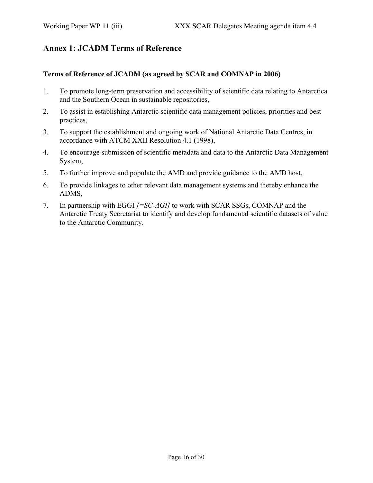# Annex 1: JCADM Terms of Reference

#### Terms of Reference of JCADM (as agreed by SCAR and COMNAP in 2006)

- 1. To promote long-term preservation and accessibility of scientific data relating to Antarctica and the Southern Ocean in sustainable repositories,
- 2. To assist in establishing Antarctic scientific data management policies, priorities and best practices,
- 3. To support the establishment and ongoing work of National Antarctic Data Centres, in accordance with ATCM XXII Resolution 4.1 (1998),
- 4. To encourage submission of scientific metadata and data to the Antarctic Data Management System,
- 5. To further improve and populate the AMD and provide guidance to the AMD host,
- 6. To provide linkages to other relevant data management systems and thereby enhance the ADMS,
- 7. In partnership with EGGI *[=SC-AGI]* to work with SCAR SSGs, COMNAP and the Antarctic Treaty Secretariat to identify and develop fundamental scientific datasets of value to the Antarctic Community.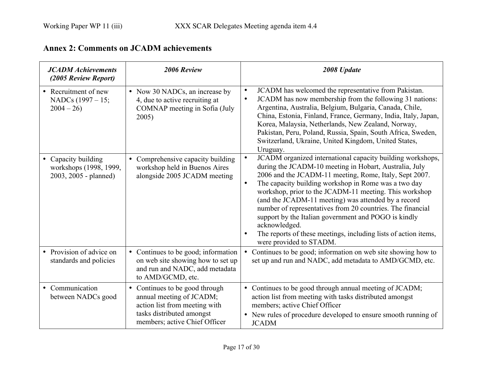| <b>JCADM</b> Achievements<br>(2005 Review Report)                      | 2006 Review                                                                                                                                               | 2008 Update                                                                                                                                                                                                                                                                                                                                                                                                                                                                                                                                                                                                            |
|------------------------------------------------------------------------|-----------------------------------------------------------------------------------------------------------------------------------------------------------|------------------------------------------------------------------------------------------------------------------------------------------------------------------------------------------------------------------------------------------------------------------------------------------------------------------------------------------------------------------------------------------------------------------------------------------------------------------------------------------------------------------------------------------------------------------------------------------------------------------------|
| • Recruitment of new<br>NADCs $(1997 - 15)$ ;<br>$2004 - 26$           | • Now 30 NADCs, an increase by<br>4, due to active recruiting at<br>COMNAP meeting in Sofia (July<br>2005)                                                | JCADM has welcomed the representative from Pakistan.<br>$\bullet$<br>JCADM has now membership from the following 31 nations:<br>$\bullet$<br>Argentina, Australia, Belgium, Bulgaria, Canada, Chile,<br>China, Estonia, Finland, France, Germany, India, Italy, Japan,<br>Korea, Malaysia, Netherlands, New Zealand, Norway,<br>Pakistan, Peru, Poland, Russia, Spain, South Africa, Sweden,<br>Switzerland, Ukraine, United Kingdom, United States,<br>Uruguay.                                                                                                                                                       |
| • Capacity building<br>workshops (1998, 1999,<br>2003, 2005 - planned) | • Comprehensive capacity building<br>workshop held in Buenos Aires<br>alongside 2005 JCADM meeting                                                        | JCADM organized international capacity building workshops,<br>$\bullet$<br>during the JCADM-10 meeting in Hobart, Australia, July<br>2006 and the JCADM-11 meeting, Rome, Italy, Sept 2007.<br>The capacity building workshop in Rome was a two day<br>$\bullet$<br>workshop, prior to the JCADM-11 meeting. This workshop<br>(and the JCADM-11 meeting) was attended by a record<br>number of representatives from 20 countries. The financial<br>support by the Italian government and POGO is kindly<br>acknowledged.<br>The reports of these meetings, including lists of action items,<br>were provided to STADM. |
| • Provision of advice on<br>standards and policies                     | • Continues to be good; information<br>on web site showing how to set up<br>and run and NADC, add metadata<br>to AMD/GCMD, etc.                           | • Continues to be good; information on web site showing how to<br>set up and run and NADC, add metadata to AMD/GCMD, etc.                                                                                                                                                                                                                                                                                                                                                                                                                                                                                              |
| • Communication<br>between NADCs good                                  | • Continues to be good through<br>annual meeting of JCADM;<br>action list from meeting with<br>tasks distributed amongst<br>members; active Chief Officer | • Continues to be good through annual meeting of JCADM;<br>action list from meeting with tasks distributed amongst<br>members; active Chief Officer<br>• New rules of procedure developed to ensure smooth running of<br><b>JCADM</b>                                                                                                                                                                                                                                                                                                                                                                                  |

# Annex 2: Comments on JCADM achievements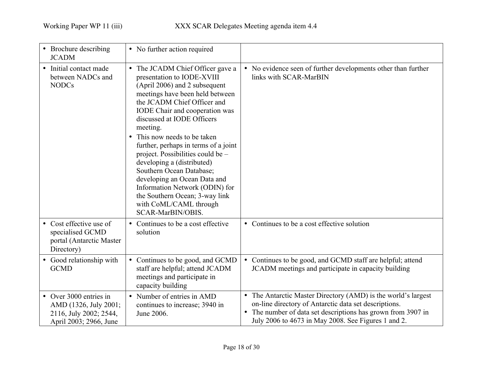| • Brochure describing<br><b>JCADM</b>                                                               | • No further action required                                                                                                                                                                                                                                                                                                                                                                                                                                                                                                                                                     |                                                                                                                                                                                                                                               |
|-----------------------------------------------------------------------------------------------------|----------------------------------------------------------------------------------------------------------------------------------------------------------------------------------------------------------------------------------------------------------------------------------------------------------------------------------------------------------------------------------------------------------------------------------------------------------------------------------------------------------------------------------------------------------------------------------|-----------------------------------------------------------------------------------------------------------------------------------------------------------------------------------------------------------------------------------------------|
| • Initial contact made<br>between NADCs and<br><b>NODCs</b>                                         | • The JCADM Chief Officer gave a<br>presentation to IODE-XVIII<br>(April 2006) and 2 subsequent<br>meetings have been held between<br>the JCADM Chief Officer and<br><b>IODE</b> Chair and cooperation was<br>discussed at IODE Officers<br>meeting.<br>• This now needs to be taken<br>further, perhaps in terms of a joint<br>project. Possibilities could be $-$<br>developing a (distributed)<br>Southern Ocean Database;<br>developing an Ocean Data and<br>Information Network (ODIN) for<br>the Southern Ocean; 3-way link<br>with CoML/CAML through<br>SCAR-MarBIN/OBIS. | • No evidence seen of further developments other than further<br>links with SCAR-MarBIN                                                                                                                                                       |
| • Cost effective use of<br>specialised GCMD<br>portal (Antarctic Master<br>Directory)               | • Continues to be a cost effective<br>solution                                                                                                                                                                                                                                                                                                                                                                                                                                                                                                                                   | • Continues to be a cost effective solution                                                                                                                                                                                                   |
| • Good relationship with<br><b>GCMD</b>                                                             | • Continues to be good, and GCMD<br>staff are helpful; attend JCADM<br>meetings and participate in<br>capacity building                                                                                                                                                                                                                                                                                                                                                                                                                                                          | • Continues to be good, and GCMD staff are helpful; attend<br>JCADM meetings and participate in capacity building                                                                                                                             |
| • Over 3000 entries in<br>AMD (1326, July 2001;<br>2116, July 2002; 2544,<br>April 2003; 2966, June | • Number of entries in AMD<br>continues to increase; 3940 in<br>June 2006.                                                                                                                                                                                                                                                                                                                                                                                                                                                                                                       | • The Antarctic Master Directory (AMD) is the world's largest<br>on-line directory of Antarctic data set descriptions.<br>• The number of data set descriptions has grown from 3907 in<br>July 2006 to 4673 in May 2008. See Figures 1 and 2. |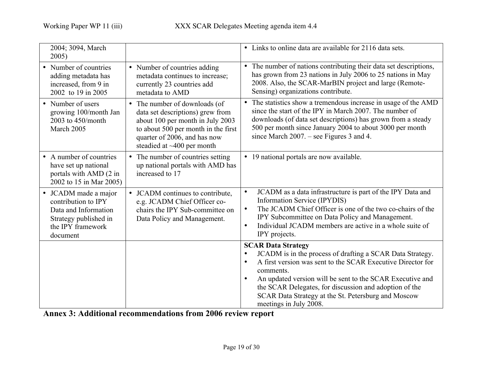| 2004; 3094, March<br>2005)                                                                                                    |                                                                                                                                                                                                              | • Links to online data are available for 2116 data sets.                                                                                                                                                                                                                                                                                                                                                         |
|-------------------------------------------------------------------------------------------------------------------------------|--------------------------------------------------------------------------------------------------------------------------------------------------------------------------------------------------------------|------------------------------------------------------------------------------------------------------------------------------------------------------------------------------------------------------------------------------------------------------------------------------------------------------------------------------------------------------------------------------------------------------------------|
| • Number of countries<br>adding metadata has<br>increased, from 9 in<br>2002 to 19 in 2005                                    | • Number of countries adding<br>metadata continues to increase;<br>currently 23 countries add<br>metadata to AMD                                                                                             | • The number of nations contributing their data set descriptions,<br>has grown from 23 nations in July 2006 to 25 nations in May<br>2008. Also, the SCAR-MarBIN project and large (Remote-<br>Sensing) organizations contribute.                                                                                                                                                                                 |
| • Number of users<br>growing 100/month Jan<br>2003 to 450/month<br>March 2005                                                 | • The number of downloads (of<br>data set descriptions) grew from<br>about 100 per month in July 2003<br>to about 500 per month in the first<br>quarter of 2006, and has now<br>steadied at $~100$ per month | • The statistics show a tremendous increase in usage of the AMD<br>since the start of the IPY in March 2007. The number of<br>downloads (of data set descriptions) has grown from a steady<br>500 per month since January 2004 to about 3000 per month<br>since March $2007$ . – see Figures 3 and 4.                                                                                                            |
| • A number of countries<br>have set up national<br>portals with AMD (2 in<br>2002 to 15 in Mar 2005)                          | • The number of countries setting<br>up national portals with AMD has<br>increased to 17                                                                                                                     | • 19 national portals are now available.                                                                                                                                                                                                                                                                                                                                                                         |
| • JCADM made a major<br>contribution to IPY<br>Data and Information<br>Strategy published in<br>the IPY framework<br>document | • JCADM continues to contribute,<br>e.g. JCADM Chief Officer co-<br>chairs the IPY Sub-committee on<br>Data Policy and Management.                                                                           | JCADM as a data infrastructure is part of the IPY Data and<br>$\bullet$<br>Information Service (IPYDIS)<br>The JCADM Chief Officer is one of the two co-chairs of the<br>$\bullet$<br>IPY Subcommittee on Data Policy and Management.<br>Individual JCADM members are active in a whole suite of<br>$\bullet$<br>IPY projects.                                                                                   |
|                                                                                                                               |                                                                                                                                                                                                              | <b>SCAR Data Strategy</b><br>JCADM is in the process of drafting a SCAR Data Strategy.<br>$\bullet$<br>A first version was sent to the SCAR Executive Director for<br>$\bullet$<br>comments<br>An updated version will be sent to the SCAR Executive and<br>$\bullet$<br>the SCAR Delegates, for discussion and adoption of the<br>SCAR Data Strategy at the St. Petersburg and Moscow<br>meetings in July 2008. |

Annex 3: Additional recommendations from 2006 review report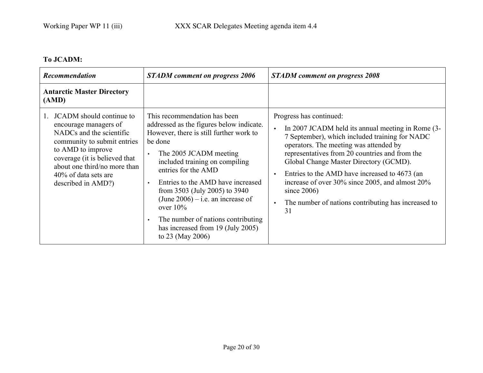# To JCADM:

| <b>Recommendation</b>                                                                                                                                                                                                                            | <b>STADM</b> comment on progress 2006                                                                                                                                                                                                                                                                                                                                                                                                                      | <b>STADM</b> comment on progress 2008                                                                                                                                                                                                                                                                                                                                                                                                                                             |
|--------------------------------------------------------------------------------------------------------------------------------------------------------------------------------------------------------------------------------------------------|------------------------------------------------------------------------------------------------------------------------------------------------------------------------------------------------------------------------------------------------------------------------------------------------------------------------------------------------------------------------------------------------------------------------------------------------------------|-----------------------------------------------------------------------------------------------------------------------------------------------------------------------------------------------------------------------------------------------------------------------------------------------------------------------------------------------------------------------------------------------------------------------------------------------------------------------------------|
| <b>Antarctic Master Directory</b><br>(AMD)                                                                                                                                                                                                       |                                                                                                                                                                                                                                                                                                                                                                                                                                                            |                                                                                                                                                                                                                                                                                                                                                                                                                                                                                   |
| JCADM should continue to<br>encourage managers of<br>NADCs and the scientific<br>community to submit entries<br>to AMD to improve<br>coverage (it is believed that<br>about one third/no more than<br>40% of data sets are<br>described in AMD?) | This recommendation has been<br>addressed as the figures below indicate.<br>However, there is still further work to<br>be done<br>The 2005 JCADM meeting<br>$\bullet$<br>included training on compiling<br>entries for the AMD<br>Entries to the AMD have increased<br>from 3503 (July 2005) to 3940<br>(June $2006$ ) – i.e. an increase of<br>over $10\%$<br>The number of nations contributing<br>has increased from 19 (July 2005)<br>to 23 (May 2006) | Progress has continued:<br>In 2007 JCADM held its annual meeting in Rome (3-<br>$\bullet$<br>7 September), which included training for NADC<br>operators. The meeting was attended by<br>representatives from 20 countries and from the<br>Global Change Master Directory (GCMD).<br>Entries to the AMD have increased to 4673 (an<br>$\bullet$<br>increase of over 30% since 2005, and almost 20%<br>since $2006$ )<br>The number of nations contributing has increased to<br>31 |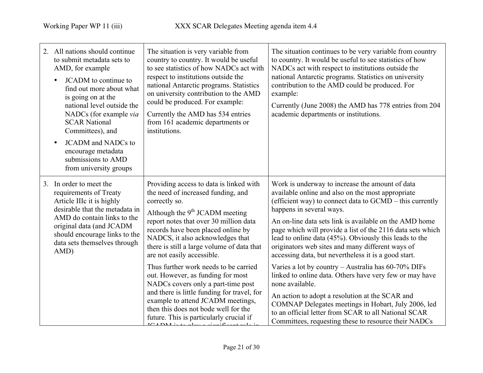| 2. All nations should continue<br>to submit metadata sets to<br>AMD, for example<br>JCADM to continue to<br>find out more about what<br>is going on at the<br>national level outside the<br>NADCs (for example via<br><b>SCAR National</b><br>Committees), and<br><b>JCADM</b> and NADCs to<br>encourage metadata<br>submissions to AMD<br>from university groups | The situation is very variable from<br>country to country. It would be useful<br>to see statistics of how NADCs act with<br>respect to institutions outside the<br>national Antarctic programs. Statistics<br>on university contribution to the AMD<br>could be produced. For example:<br>Currently the AMD has 534 entries<br>from 161 academic departments or<br>institutions.                                                                                                                                                                                                                                              | The situation continues to be very variable from country<br>to country. It would be useful to see statistics of how<br>NADCs act with respect to institutions outside the<br>national Antarctic programs. Statistics on university<br>contribution to the AMD could be produced. For<br>example:<br>Currently (June 2008) the AMD has 778 entries from 204<br>academic departments or institutions.                                                                                                                                                                                                                                                                                                                                                                                                                                                          |
|-------------------------------------------------------------------------------------------------------------------------------------------------------------------------------------------------------------------------------------------------------------------------------------------------------------------------------------------------------------------|-------------------------------------------------------------------------------------------------------------------------------------------------------------------------------------------------------------------------------------------------------------------------------------------------------------------------------------------------------------------------------------------------------------------------------------------------------------------------------------------------------------------------------------------------------------------------------------------------------------------------------|--------------------------------------------------------------------------------------------------------------------------------------------------------------------------------------------------------------------------------------------------------------------------------------------------------------------------------------------------------------------------------------------------------------------------------------------------------------------------------------------------------------------------------------------------------------------------------------------------------------------------------------------------------------------------------------------------------------------------------------------------------------------------------------------------------------------------------------------------------------|
| 3. In order to meet the<br>requirements of Treaty<br>Article IIIc it is highly<br>desirable that the metadata in<br>AMD do contain links to the<br>original data (and JCADM<br>should encourage links to the<br>data sets themselves through<br>AMD)                                                                                                              | Providing access to data is linked with<br>the need of increased funding, and<br>correctly so.<br>Although the $9th$ JCADM meeting<br>report notes that over 30 million data<br>records have been placed online by<br>NADCS, it also acknowledges that<br>there is still a large volume of data that<br>are not easily accessible.<br>Thus further work needs to be carried<br>out. However, as funding for most<br>NADCs covers only a part-time post<br>and there is little funding for travel, for<br>example to attend JCADM meetings,<br>then this does not bode well for the<br>future. This is particularly crucial if | Work is underway to increase the amount of data<br>available online and also on the most appropriate<br>(efficient way) to connect data to GCMD – this currently<br>happens in several ways.<br>An on-line data sets link is available on the AMD home<br>page which will provide a list of the 2116 data sets which<br>lead to online data (45%). Obviously this leads to the<br>originators web sites and many different ways of<br>accessing data, but nevertheless it is a good start.<br>Varies a lot by country – Australia has $60-70\%$ DIFs<br>linked to online data. Others have very few or may have<br>none available.<br>An action to adopt a resolution at the SCAR and<br>COMNAP Delegates meetings in Hobart, July 2006, led<br>to an official letter from SCAR to all National SCAR<br>Committees, requesting these to resource their NADCs |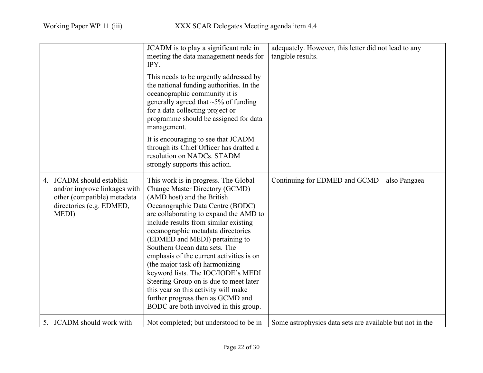|                                                                                                                               | JCADM is to play a significant role in<br>meeting the data management needs for<br>IPY.<br>This needs to be urgently addressed by<br>the national funding authorities. In the<br>oceanographic community it is<br>generally agreed that $\sim$ 5% of funding<br>for a data collecting project or<br>programme should be assigned for data<br>management.<br>It is encouraging to see that JCADM<br>through its Chief Officer has drafted a<br>resolution on NADCs. STADM<br>strongly supports this action.                                                                                                                | adequately. However, this letter did not lead to any<br>tangible results. |
|-------------------------------------------------------------------------------------------------------------------------------|---------------------------------------------------------------------------------------------------------------------------------------------------------------------------------------------------------------------------------------------------------------------------------------------------------------------------------------------------------------------------------------------------------------------------------------------------------------------------------------------------------------------------------------------------------------------------------------------------------------------------|---------------------------------------------------------------------------|
| 4. JCADM should establish<br>and/or improve linkages with<br>other (compatible) metadata<br>directories (e.g. EDMED,<br>MEDI) | This work is in progress. The Global<br>Change Master Directory (GCMD)<br>(AMD host) and the British<br>Oceanographic Data Centre (BODC)<br>are collaborating to expand the AMD to<br>include results from similar existing<br>oceanographic metadata directories<br>(EDMED and MEDI) pertaining to<br>Southern Ocean data sets. The<br>emphasis of the current activities is on<br>(the major task of) harmonizing<br>keyword lists. The IOC/IODE's MEDI<br>Steering Group on is due to meet later<br>this year so this activity will make<br>further progress then as GCMD and<br>BODC are both involved in this group. | Continuing for EDMED and GCMD – also Pangaea                              |
| 5. JCADM should work with                                                                                                     | Not completed; but understood to be in                                                                                                                                                                                                                                                                                                                                                                                                                                                                                                                                                                                    | Some astrophysics data sets are available but not in the                  |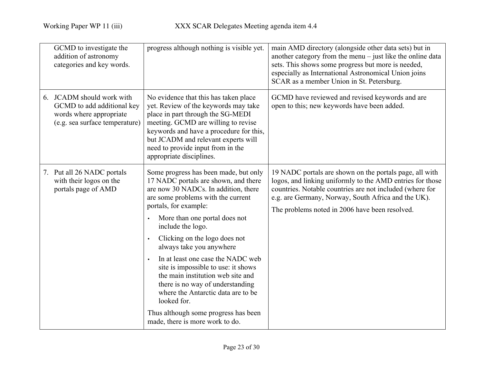| GCMD to investigate the<br>addition of astronomy<br>categories and key words.                                        | progress although nothing is visible yet.                                                                                                                                                                                                                                                                                                                                                                                                                                                                                                                                                    | main AMD directory (alongside other data sets) but in<br>another category from the menu $-$ just like the online data<br>sets. This shows some progress but more is needed,<br>especially as International Astronomical Union joins<br>SCAR as a member Union in St. Petersburg.          |
|----------------------------------------------------------------------------------------------------------------------|----------------------------------------------------------------------------------------------------------------------------------------------------------------------------------------------------------------------------------------------------------------------------------------------------------------------------------------------------------------------------------------------------------------------------------------------------------------------------------------------------------------------------------------------------------------------------------------------|-------------------------------------------------------------------------------------------------------------------------------------------------------------------------------------------------------------------------------------------------------------------------------------------|
| 6. JCADM should work with<br>GCMD to add additional key<br>words where appropriate<br>(e.g. sea surface temperature) | No evidence that this has taken place<br>yet. Review of the keywords may take<br>place in part through the SG-MEDI<br>meeting. GCMD are willing to revise<br>keywords and have a procedure for this,<br>but JCADM and relevant experts will<br>need to provide input from in the<br>appropriate disciplines.                                                                                                                                                                                                                                                                                 | GCMD have reviewed and revised keywords and are<br>open to this; new keywords have been added.                                                                                                                                                                                            |
| 7. Put all 26 NADC portals<br>with their logos on the<br>portals page of AMD                                         | Some progress has been made, but only<br>17 NADC portals are shown, and there<br>are now 30 NADCs. In addition, there<br>are some problems with the current<br>portals, for example:<br>More than one portal does not<br>include the logo.<br>Clicking on the logo does not<br>always take you anywhere<br>In at least one case the NADC web<br>site is impossible to use: it shows<br>the main institution web site and<br>there is no way of understanding<br>where the Antarctic data are to be<br>looked for.<br>Thus although some progress has been<br>made, there is more work to do. | 19 NADC portals are shown on the portals page, all with<br>logos, and linking uniformly to the AMD entries for those<br>countries. Notable countries are not included (where for<br>e.g. are Germany, Norway, South Africa and the UK).<br>The problems noted in 2006 have been resolved. |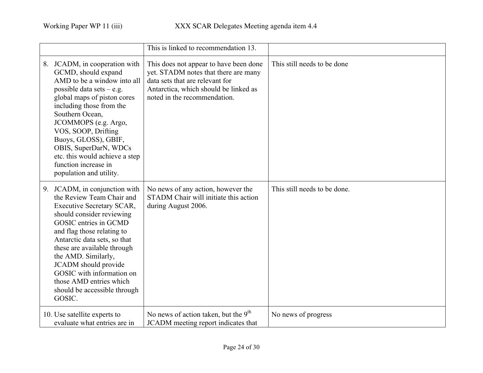|                                                                                                                                                                                                                                                                                                                                                                                                    | This is linked to recommendation 13.                                                                                                                                                       |                              |
|----------------------------------------------------------------------------------------------------------------------------------------------------------------------------------------------------------------------------------------------------------------------------------------------------------------------------------------------------------------------------------------------------|--------------------------------------------------------------------------------------------------------------------------------------------------------------------------------------------|------------------------------|
| 8. JCADM, in cooperation with<br>GCMD, should expand<br>AMD to be a window into all<br>possible data sets $-$ e.g.<br>global maps of piston cores<br>including those from the<br>Southern Ocean,<br>JCOMMOPS (e.g. Argo,<br>VOS, SOOP, Drifting<br>Buoys, GLOSS), GBIF,<br>OBIS, SuperDarN, WDCs<br>etc. this would achieve a step<br>function increase in<br>population and utility.              | This does not appear to have been done<br>yet. STADM notes that there are many<br>data sets that are relevant for<br>Antarctica, which should be linked as<br>noted in the recommendation. | This still needs to be done  |
| 9. JCADM, in conjunction with<br>the Review Team Chair and<br><b>Executive Secretary SCAR,</b><br>should consider reviewing<br>GOSIC entries in GCMD<br>and flag those relating to<br>Antarctic data sets, so that<br>these are available through<br>the AMD. Similarly,<br>JCADM should provide<br>GOSIC with information on<br>those AMD entries which<br>should be accessible through<br>GOSIC. | No news of any action, however the<br>STADM Chair will initiate this action<br>during August 2006.                                                                                         | This still needs to be done. |
| 10. Use satellite experts to<br>evaluate what entries are in                                                                                                                                                                                                                                                                                                                                       | No news of action taken, but the $9th$<br>JCADM meeting report indicates that                                                                                                              | No news of progress          |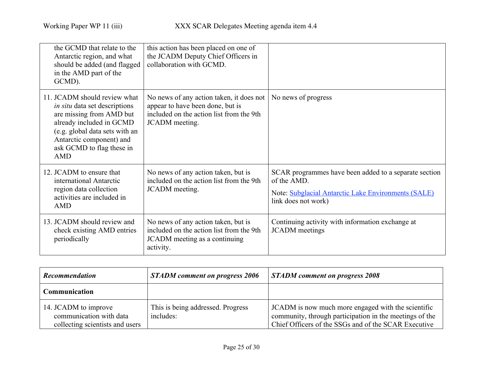| the GCMD that relate to the<br>Antarctic region, and what<br>should be added (and flagged)<br>in the AMD part of the<br>GCMD).                                                                                                        | this action has been placed on one of<br>the JCADM Deputy Chief Officers in<br>collaboration with GCMD.                                    |                                                                                                                                                    |
|---------------------------------------------------------------------------------------------------------------------------------------------------------------------------------------------------------------------------------------|--------------------------------------------------------------------------------------------------------------------------------------------|----------------------------------------------------------------------------------------------------------------------------------------------------|
| 11. JCADM should review what<br><i>in situ</i> data set descriptions<br>are missing from AMD but<br>already included in GCMD<br>(e.g. global data sets with an<br>Antarctic component) and<br>ask GCMD to flag these in<br><b>AMD</b> | No news of any action taken, it does not<br>appear to have been done, but is<br>included on the action list from the 9th<br>JCADM meeting. | No news of progress                                                                                                                                |
| 12. JCADM to ensure that<br>international Antarctic<br>region data collection<br>activities are included in<br><b>AMD</b>                                                                                                             | No news of any action taken, but is<br>included on the action list from the 9th<br>JCADM meeting.                                          | SCAR programmes have been added to a separate section<br>of the AMD.<br>Note: Subglacial Antarctic Lake Environments (SALE)<br>link does not work) |
| 13. JCADM should review and<br>check existing AMD entries<br>periodically                                                                                                                                                             | No news of any action taken, but is<br>included on the action list from the 9th<br>JCADM meeting as a continuing<br>activity.              | Continuing activity with information exchange at<br><b>JCADM</b> meetings                                                                          |

| <b>Recommendation</b>                                                              | <b>STADM</b> comment on progress 2006          | <b>STADM</b> comment on progress 2008                                                                                                                                 |
|------------------------------------------------------------------------------------|------------------------------------------------|-----------------------------------------------------------------------------------------------------------------------------------------------------------------------|
| <b>Communication</b>                                                               |                                                |                                                                                                                                                                       |
| 14. JCADM to improve<br>communication with data<br>collecting scientists and users | This is being addressed. Progress<br>includes: | JCADM is now much more engaged with the scientific<br>community, through participation in the meetings of the<br>Chief Officers of the SSGs and of the SCAR Executive |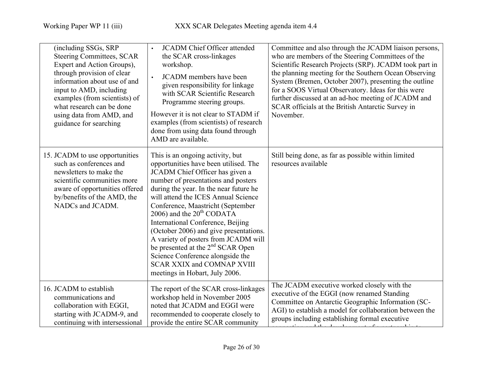| (including SSGs, SRP<br><b>Steering Committees, SCAR</b><br>Expert and Action Groups),<br>through provision of clear<br>information about use of and<br>input to AMD, including<br>examples (from scientists) of<br>what research can be done<br>using data from AMD, and<br>guidance for searching | <b>JCADM</b> Chief Officer attended<br>$\bullet$<br>the SCAR cross-linkages<br>workshop.<br><b>JCADM</b> members have been<br>given responsibility for linkage<br>with SCAR Scientific Research<br>Programme steering groups.<br>However it is not clear to STADM if<br>examples (from scientists) of research<br>done from using data found through<br>AMD are available.                                                                                                                                                                                                                  | Committee and also through the JCADM liaison persons,<br>who are members of the Steering Committees of the<br>Scientific Research Projects (SRP). JCADM took part in<br>the planning meeting for the Southern Ocean Observing<br>System (Bremen, October 2007), presenting the outline<br>for a SOOS Virtual Observatory. Ideas for this were<br>further discussed at an ad-hoc meeting of JCADM and<br>SCAR officials at the British Antarctic Survey in<br>November. |
|-----------------------------------------------------------------------------------------------------------------------------------------------------------------------------------------------------------------------------------------------------------------------------------------------------|---------------------------------------------------------------------------------------------------------------------------------------------------------------------------------------------------------------------------------------------------------------------------------------------------------------------------------------------------------------------------------------------------------------------------------------------------------------------------------------------------------------------------------------------------------------------------------------------|------------------------------------------------------------------------------------------------------------------------------------------------------------------------------------------------------------------------------------------------------------------------------------------------------------------------------------------------------------------------------------------------------------------------------------------------------------------------|
| 15. JCADM to use opportunities<br>such as conferences and<br>newsletters to make the<br>scientific communities more<br>aware of opportunities offered<br>by/benefits of the AMD, the<br>NADCs and JCADM.                                                                                            | This is an ongoing activity, but<br>opportunities have been utilised. The<br>JCADM Chief Officer has given a<br>number of presentations and posters<br>during the year. In the near future he<br>will attend the ICES Annual Science<br>Conference, Maastricht (September<br>2006) and the $20th$ CODATA<br>International Conference, Beijing<br>(October 2006) and give presentations.<br>A variety of posters from JCADM will<br>be presented at the 2 <sup>nd</sup> SCAR Open<br>Science Conference alongside the<br><b>SCAR XXIX and COMNAP XVIII</b><br>meetings in Hobart, July 2006. | Still being done, as far as possible within limited<br>resources available                                                                                                                                                                                                                                                                                                                                                                                             |
| 16. JCADM to establish<br>communications and<br>collaboration with EGGI,<br>starting with JCADM-9, and<br>continuing with intersessional                                                                                                                                                            | The report of the SCAR cross-linkages<br>workshop held in November 2005<br>noted that JCADM and EGGI were<br>recommended to cooperate closely to<br>provide the entire SCAR community                                                                                                                                                                                                                                                                                                                                                                                                       | The JCADM executive worked closely with the<br>executive of the EGGI (now renamed Standing<br>Committee on Antarctic Geographic Information (SC-<br>AGI) to establish a model for collaboration between the<br>groups including establishing formal executive                                                                                                                                                                                                          |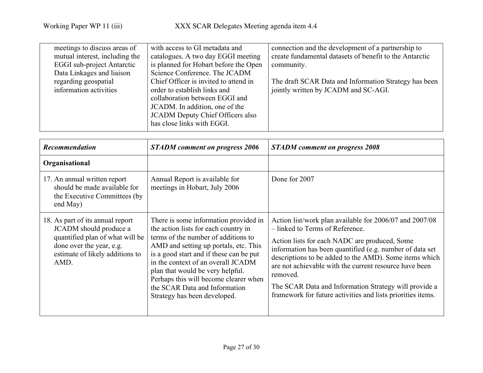| meetings to discuss areas of      | with access to GI metadata and        | connection and the development of a partnership to      |
|-----------------------------------|---------------------------------------|---------------------------------------------------------|
| mutual interest, including the    | catalogues. A two day EGGI meeting    | create fundamental datasets of benefit to the Antarctic |
| <b>EGGI</b> sub-project Antarctic | is planned for Hobart before the Open | community.                                              |
| Data Linkages and liaison         | Science Conference. The JCADM         |                                                         |
| regarding geospatial              | Chief Officer is invited to attend in | The draft SCAR Data and Information Strategy has been   |
| information activities            | order to establish links and          | jointly written by JCADM and SC-AGI.                    |
|                                   | collaboration between EGGI and        |                                                         |
|                                   | JCADM. In addition, one of the        |                                                         |
|                                   | JCADM Deputy Chief Officers also      |                                                         |
|                                   | has close links with EGGI.            |                                                         |
|                                   |                                       |                                                         |

| <b>Recommendation</b>                                                                                                                                                | <b>STADM</b> comment on progress 2006                                                                                                                                                                                                                                                                                                                                                        | <b>STADM</b> comment on progress 2008                                                                                                                                                                                                                                                                                                                                                                                                                           |
|----------------------------------------------------------------------------------------------------------------------------------------------------------------------|----------------------------------------------------------------------------------------------------------------------------------------------------------------------------------------------------------------------------------------------------------------------------------------------------------------------------------------------------------------------------------------------|-----------------------------------------------------------------------------------------------------------------------------------------------------------------------------------------------------------------------------------------------------------------------------------------------------------------------------------------------------------------------------------------------------------------------------------------------------------------|
| Organisational                                                                                                                                                       |                                                                                                                                                                                                                                                                                                                                                                                              |                                                                                                                                                                                                                                                                                                                                                                                                                                                                 |
| 17. An annual written report<br>should be made available for<br>the Executive Committees (by)<br>end May)                                                            | Annual Report is available for<br>meetings in Hobart, July 2006                                                                                                                                                                                                                                                                                                                              | Done for 2007                                                                                                                                                                                                                                                                                                                                                                                                                                                   |
| 18. As part of its annual report<br>JCADM should produce a<br>quantified plan of what will be<br>done over the year, e.g.<br>estimate of likely additions to<br>AMD. | There is some information provided in<br>the action lists for each country in<br>terms of the number of additions to<br>AMD and setting up portals, etc. This<br>is a good start and if these can be put<br>in the context of an overall JCADM<br>plan that would be very helpful.<br>Perhaps this will become clearer when<br>the SCAR Data and Information<br>Strategy has been developed. | Action list/work plan available for 2006/07 and 2007/08<br>- linked to Terms of Reference.<br>Action lists for each NADC are produced, Some<br>information has been quantified (e.g. number of data set<br>descriptions to be added to the AMD). Some items which<br>are not achievable with the current resource have been<br>removed.<br>The SCAR Data and Information Strategy will provide a<br>framework for future activities and lists priorities items. |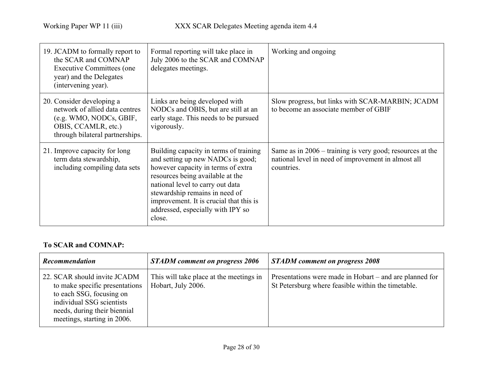| 19. JCADM to formally report to<br>the SCAR and COMNAP<br><b>Executive Committees (one</b><br>year) and the Delegates<br>(intervening year).     | Formal reporting will take place in<br>July 2006 to the SCAR and COMNAP<br>delegates meetings.                                                                                                                                                                                                                        | Working and ongoing                                                                                                              |
|--------------------------------------------------------------------------------------------------------------------------------------------------|-----------------------------------------------------------------------------------------------------------------------------------------------------------------------------------------------------------------------------------------------------------------------------------------------------------------------|----------------------------------------------------------------------------------------------------------------------------------|
| 20. Consider developing a<br>network of allied data centres<br>(e.g. WMO, NODCs, GBIF,<br>OBIS, CCAMLR, etc.)<br>through bilateral partnerships. | Links are being developed with<br>NODCs and OBIS, but are still at an<br>early stage. This needs to be pursued<br>vigorously.                                                                                                                                                                                         | Slow progress, but links with SCAR-MARBIN; JCADM<br>to become an associate member of GBIF                                        |
| 21. Improve capacity for long<br>term data stewardship,<br>including compiling data sets                                                         | Building capacity in terms of training<br>and setting up new NADCs is good;<br>however capacity in terms of extra<br>resources being available at the<br>national level to carry out data<br>stewardship remains in need of<br>improvement. It is crucial that this is<br>addressed, especially with IPY so<br>close. | Same as in $2006$ – training is very good; resources at the<br>national level in need of improvement in almost all<br>countries. |

# To SCAR and COMNAP:

| <b>Recommendation</b>                                                                                                                                                                  | <b>STADM</b> comment on progress 2006                         | <b>STADM</b> comment on progress 2008                                                                         |
|----------------------------------------------------------------------------------------------------------------------------------------------------------------------------------------|---------------------------------------------------------------|---------------------------------------------------------------------------------------------------------------|
| 22. SCAR should invite JCADM<br>to make specific presentations<br>to each SSG, focusing on<br>individual SSG scientists<br>needs, during their biennial<br>meetings, starting in 2006. | This will take place at the meetings in<br>Hobart, July 2006. | Presentations were made in Hobart – and are planned for<br>St Petersburg where feasible within the timetable. |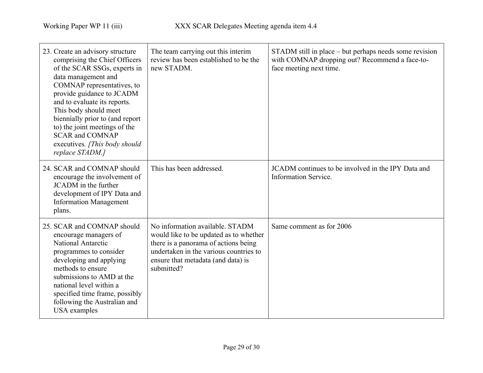| 23. Create an advisory structure<br>comprising the Chief Officers<br>of the SCAR SSGs, experts in<br>data management and<br>COMNAP representatives, to<br>provide guidance to JCADM<br>and to evaluate its reports.<br>This body should meet<br>biennially prior to (and report<br>to) the joint meetings of the<br><b>SCAR and COMNAP</b><br>executives. [This body should<br>replace STADM.] | The team carrying out this interim<br>review has been established to be the<br>new STADM.                                                                                                                       | STADM still in place – but perhaps needs some revision<br>with COMNAP dropping out? Recommend a face-to-<br>face meeting next time. |
|------------------------------------------------------------------------------------------------------------------------------------------------------------------------------------------------------------------------------------------------------------------------------------------------------------------------------------------------------------------------------------------------|-----------------------------------------------------------------------------------------------------------------------------------------------------------------------------------------------------------------|-------------------------------------------------------------------------------------------------------------------------------------|
| 24. SCAR and COMNAP should<br>encourage the involvement of<br>JCADM in the further<br>development of IPY Data and<br><b>Information Management</b><br>plans.                                                                                                                                                                                                                                   | This has been addressed.                                                                                                                                                                                        | JCADM continues to be involved in the IPY Data and<br>Information Service.                                                          |
| 25. SCAR and COMNAP should<br>encourage managers of<br>National Antarctic<br>programmes to consider<br>developing and applying<br>methods to ensure<br>submissions to AMD at the<br>national level within a<br>specified time frame, possibly<br>following the Australian and<br><b>USA</b> examples                                                                                           | No information available. STADM<br>would like to be updated as to whether<br>there is a panorama of actions being<br>undertaken in the various countries to<br>ensure that metadata (and data) is<br>submitted? | Same comment as for 2006                                                                                                            |